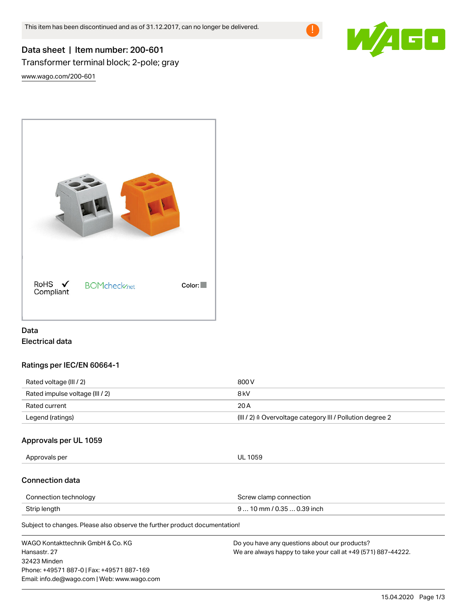

# Data sheet | Item number: 200-601 Transformer terminal block; 2-pole; gray

[www.wago.com/200-601](http://www.wago.com/200-601)



## Data Electrical data

## Ratings per IEC/EN 60664-1

| Rated voltage (III / 2)         | 800 V                                                                |
|---------------------------------|----------------------------------------------------------------------|
| Rated impulse voltage (III / 2) | 8 kV                                                                 |
| Rated current                   | 20 A                                                                 |
| Legend (ratings)                | (III / 2) $\triangleq$ Overvoltage category III / Pollution degree 2 |

#### Approvals per UL 1059

Approvals per UL 1059

#### Connection data

| Connection technology | Screw clamp connection     |
|-----------------------|----------------------------|
| Strip length          | $910$ mm / 0.35  0.39 inch |

Subject to changes. Please also observe the further product documentation!

| WAGO Kontakttechnik GmbH & Co. KG           | Do you have any questions about our products?                 |
|---------------------------------------------|---------------------------------------------------------------|
| Hansastr, 27                                | We are always happy to take your call at +49 (571) 887-44222. |
| 32423 Minden                                |                                                               |
| Phone: +49571 887-0   Fax: +49571 887-169   |                                                               |
| Email: info.de@wago.com   Web: www.wago.com |                                                               |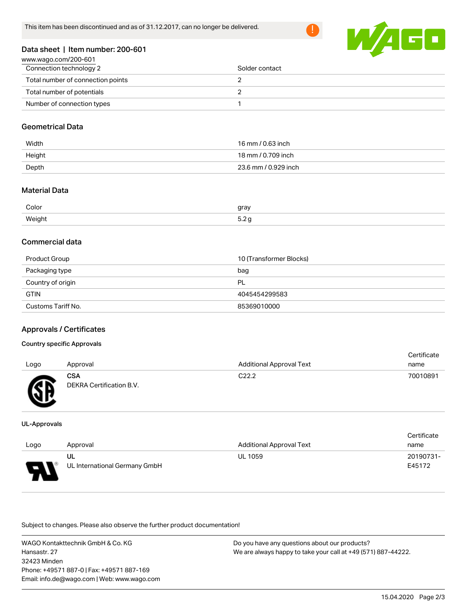

#### Data sheet | Item number: 200-601

| www.wago.com/200-601              |                |
|-----------------------------------|----------------|
| Connection technology 2           | Solder contact |
| Total number of connection points |                |
| Total number of potentials        |                |
| Number of connection types        |                |

#### Geometrical Data

| Width  | 16 mm / 0.63 inch    |
|--------|----------------------|
| Height | 18 mm / 0.709 inch   |
| Depth  | 23.6 mm / 0.929 inch |

## Material Data

| Color      | gray<br>$\overline{\phantom{a}}$ |
|------------|----------------------------------|
| Weight<br> | $  -$<br><b></b>                 |

#### Commercial data

| Product Group      | 10 (Transformer Blocks) |
|--------------------|-------------------------|
| Packaging type     | bag                     |
| Country of origin  | PL                      |
| <b>GTIN</b>        | 4045454299583           |
| Customs Tariff No. | 85369010000             |

# Approvals / Certificates

#### Country specific Approvals

| Logo     | Approval                               | <b>Additional Approval Text</b> | Certificate<br>name |
|----------|----------------------------------------|---------------------------------|---------------------|
| <b>R</b> | <b>CSA</b><br>DEKRA Certification B.V. | C <sub>22.2</sub>               | 70010891            |

#### UL-Approvals

|      |                               |                                 | Certificate |
|------|-------------------------------|---------------------------------|-------------|
| Logo | Approval                      | <b>Additional Approval Text</b> | name        |
|      | UL                            | <b>UL 1059</b>                  | 20190731-   |
| o    | UL International Germany GmbH |                                 | E45172      |

Subject to changes. Please also observe the further product documentation!

WAGO Kontakttechnik GmbH & Co. KG Hansastr. 27 32423 Minden Phone: +49571 887-0 | Fax: +49571 887-169 Email: info.de@wago.com | Web: www.wago.com Do you have any questions about our products? We are always happy to take your call at +49 (571) 887-44222.